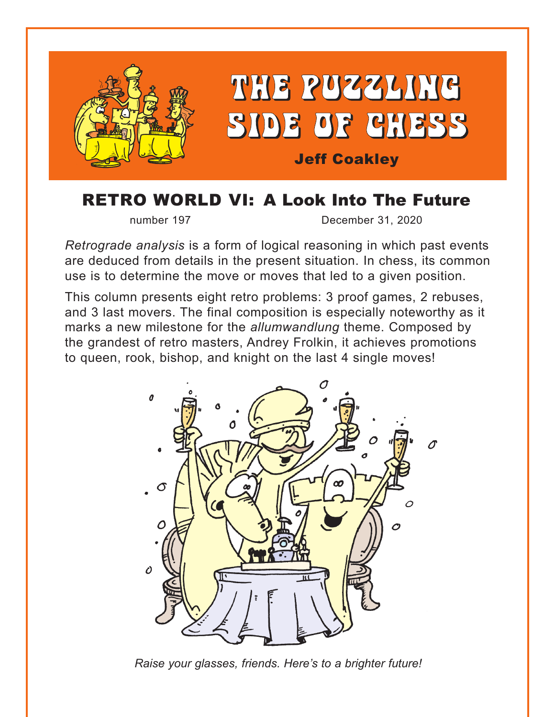

## RETRO WORLD VI: A Look Into The Future

number 197 December 31, 2020

*Retrograde analysis* is a form of logical reasoning in which past events are deduced from details in the present situation. In chess, its common use is to determine the move or moves that led to a given position.

This column presents eight retro problems: 3 proof games, 2 rebuses, and 3 last movers. The final composition is especially noteworthy as it marks a new milestone for the *allumwandlung* theme. Composed by the grandest of retro masters, Andrey Frolkin, it achieves promotions to queen, rook, bishop, and knight on the last 4 single moves!



*Raise your glasses, friends. Here's to a brighter future!*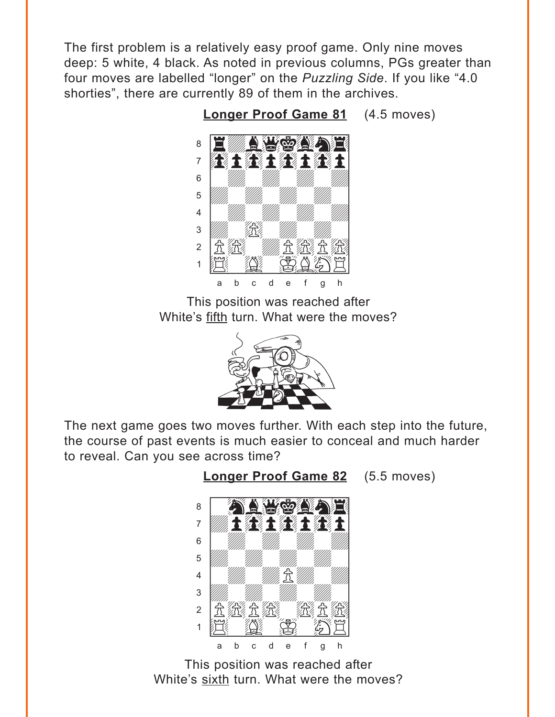<span id="page-1-0"></span>The first problem is a relatively easy proof game. Only nine moves deep: 5 white, 4 black. As noted in previous columns, PGs greater than four moves are labelled "longer" on the *Puzzling Side*. If you like "4.0 shorties", there are currently 89 of them in the archives.

> <u>way was come of</u> <u>: Ewayson, 1</u> 7 **betwithit** 6 | *William William William William William William William William William William William William William William William William William William William William William William William William William William William W* **b** William William William Company and the Company of the Company of the Company of the Company of the Company of the Company of the Company of the Company of the Company of the Company of the Company of the Company of th 4 William William William William  $\frac{1}{\sqrt{2}}$ 2 | 允 徐 | */ / / / 允 允* 允  $\cdot$   $E$   $E$   $E$   $E$ a b c d e f g h

**[Longer Proof Game 81](#page-6-0)** (4.5 moves)

This position was reached after White's fifth turn. What were the moves?



The next game goes two moves further. With each step into the future, the course of past events is much easier to conceal and much harder to reveal. Can you see across time?



**[Longer Proof Game 82](#page-7-0)** (5.5 moves)

This position was reached after White's sixth turn. What were the moves?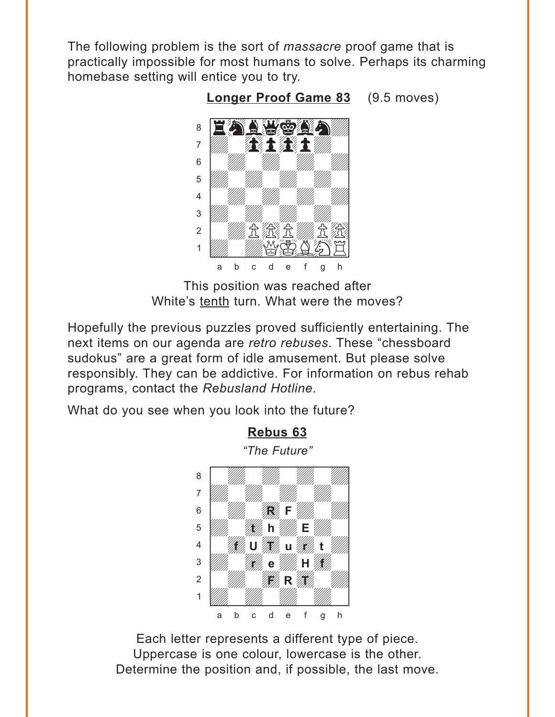<span id="page-2-0"></span>The following problem is the sort of *massacre* proof game that is practically impossible for most humans to solve. Perhaps its charming homebase setting will entice you to try.



**[Longer Proof Game 83](#page-7-0)** (9.5 moves) w\_\_\_\_\_\_\_\_w

This position was reached after White's tenth turn. What were the moves?

Hopefully the previous puzzles proved sufficiently entertaining. The next items on our agenda are *retro rebuses*. These "chessboard sudokus" are a great form of idle amusement. But please solve responsibly. They can be addictive. For information on rebus rehab programs, contact the *Rebusland Hotline*.

What do you see when you look into the future?



Each letter represents a different type of piece. Uppercase is one colour, lowercase is the other. Determine the position and, if possible, the last move.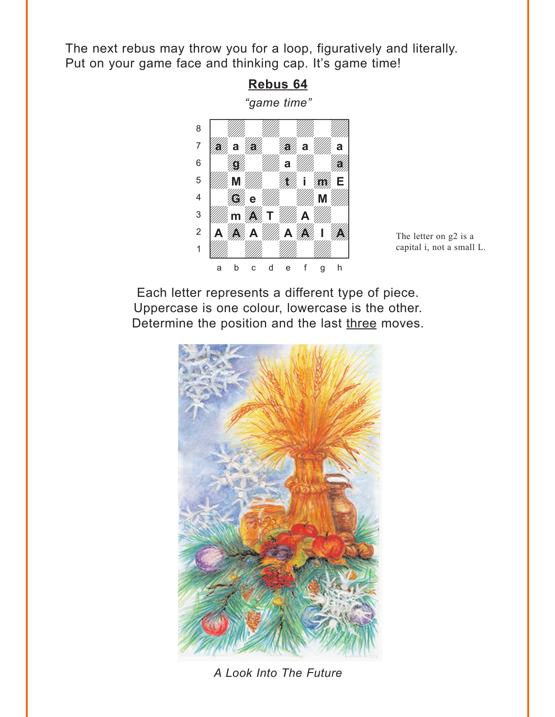<span id="page-3-0"></span>The next rebus may throw you for a loop, figuratively and literally. Put on your game face and thinking cap. It's game time!

> **[Rebus 64](#page-9-0)** *"game time"* w\_\_\_\_\_\_\_\_w



capital i, not a small L.

Each letter represents a different type of piece. Uppercase is one colour, lowercase is the other. Determine the position and the last three moves.



*A Look Into The Future*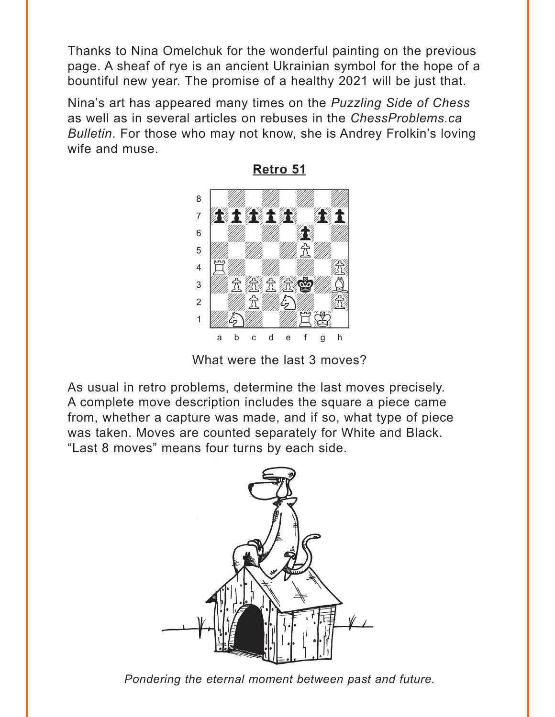<span id="page-4-0"></span>Thanks to Nina Omelchuk for the wonderful painting on the previous page. A sheaf of rye is an ancient Ukrainian symbol for the hope of a bountiful new year. The promise of a healthy 2021 will be just that.

Nina's art has appeared many times on the *Puzzling Side of Chess* as well as in several articles on rebuses in the *ChessProblems.ca Bulletin*. For those who may not know, she is Andrey Frolkin's loving wife and muse.



**[Retro 51](#page-12-0)**

What were the last 3 moves?

As usual in retro problems, determine the last moves precisely. A complete move description includes the square a piece came from, whether a capture was made, and if so, what type of piece was taken. Moves are counted separately for White and Black. "Last 8 moves" means four turns by each side.



*Pondering the eternal moment between past and future.*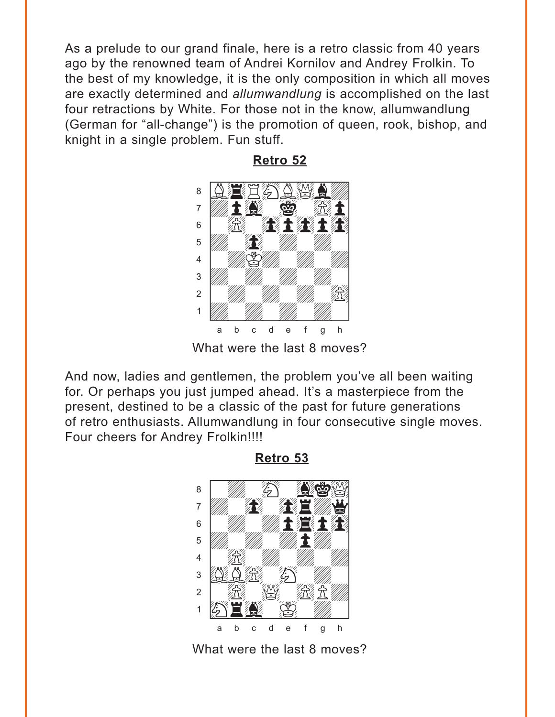<span id="page-5-0"></span>As a prelude to our grand finale, here is a retro classic from 40 years ago by the renowned team of Andrei Kornilov and Andrey Frolkin. To the best of my knowledge, it is the only composition in which all moves are exactly determined and *allumwandlung* is accomplished on the last four retractions by White. For those not in the know, allumwandlung (German for "all-change") is the promotion of queen, rook, bishop, and knight in a single problem. Fun stuff.



**[Retro 52](#page-13-0)**

What were the last 8 moves?

And now, ladies and gentlemen, the problem you've all been waiting for. Or perhaps you just jumped ahead. It's a masterpiece from the present, destined to be a classic of the past for future generations of retro enthusiasts. Allumwandlung in four consecutive single moves. Four cheers for Andrey Frolkin!!!!

**[Retro 53](#page-14-0)**



What were the last 8 moves?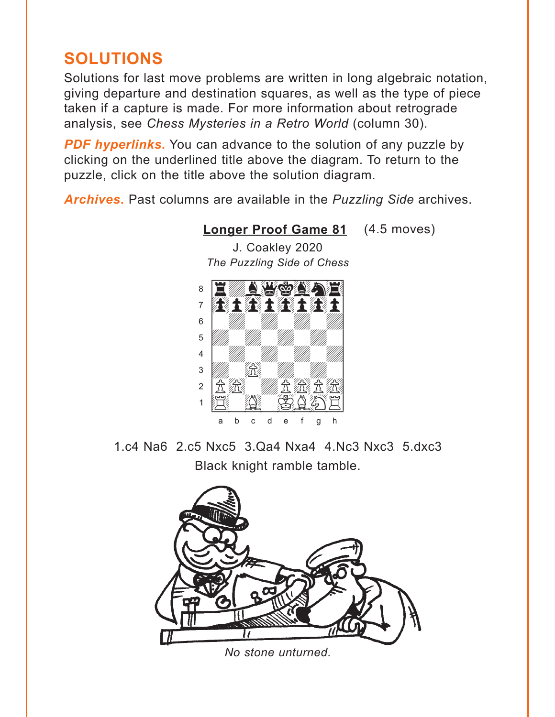# <span id="page-6-0"></span>**SOLUTIONS**

Solutions for last move problems are written in long algebraic notation, giving departure and destination squares, as well as the type of piece taken if a capture is made. For more information about retrograde analysis, see *Chess Mysteries in a Retro World* (column 30).

**PDF hyperlinks.** You can advance to the solution of any puzzle by clicking on the underlined title above the diagram. To return to the puzzle, click on the title above the solution diagram.

*Archives***.** Past columns are available in the *Puzzling Side* archives.



**[Longer Proof Game 81](#page-1-0)** (4.5 moves)

J. Coakley 2020

1.c4 Na6 2.c5 Nxc5 3.Qa4 Nxa4 4.Nc3 Nxc3 5.dxc3 Black knight ramble tamble.



*No stone unturned.*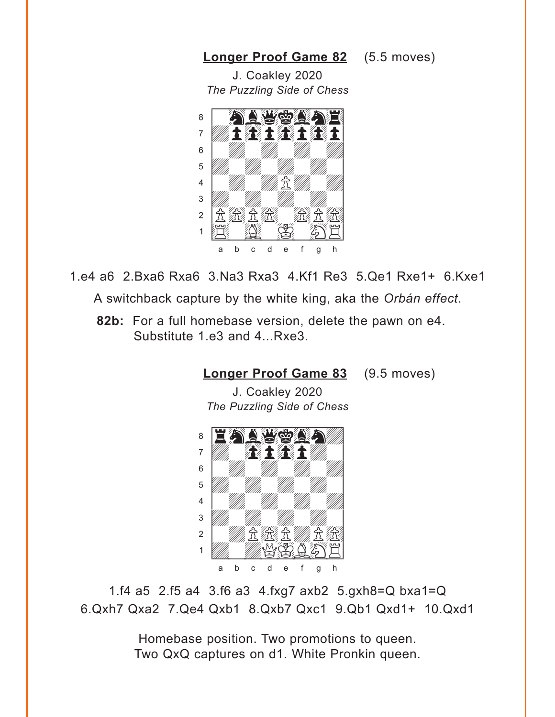#### <span id="page-7-0"></span>**[Longer Proof Game 82](#page-1-0)** (5.5 moves)

J. Coakley 2020 *The Puzzling Side of Chess*



1.e4 a6 2.Bxa6 Rxa6 3.Na3 Rxa3 4.Kf1 Re3 5.Qe1 Rxe1+ 6.Kxe1 A switchback capture by the white king, aka the *Orbán effect*.

**82b:** For a full homebase version, delete the pawn on e4. Substitute 1.e3 and 4...Rxe3.

**[Longer Proof Game 83](#page-2-0)** (9.5 moves)

J. Coakley 2020 *The Puzzling Side of Chess*



1.f4 a5 2.f5 a4 3.f6 a3 4.fxg7 axb2 5.gxh8=Q bxa1=Q 6.Qxh7 Qxa2 7.Qe4 Qxb1 8.Qxb7 Qxc1 9.Qb1 Qxd1+ 10.Qxd1

> Homebase position. Two promotions to queen. Two QxQ captures on d1. White Pronkin queen.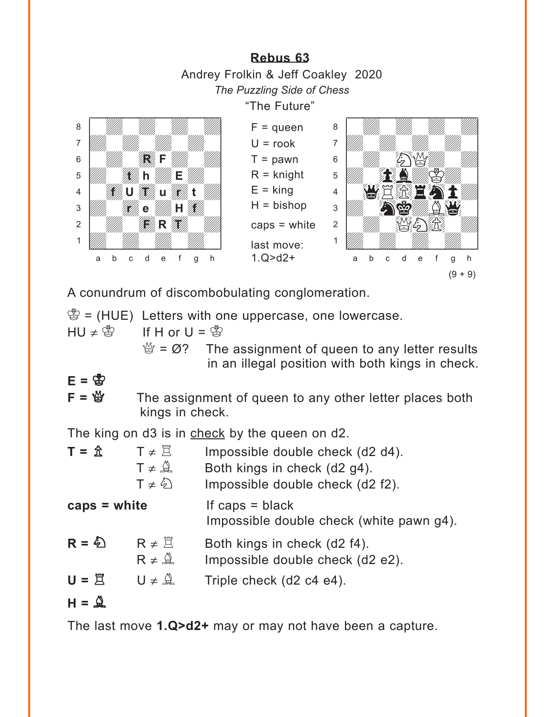<span id="page-8-0"></span>**[Rebus 63](#page-2-0)** Andrey Frolkin & Jeff Coakley 2020 *The Puzzling Side of Chess* "The Future"  $F =$ queen  $U = \text{rook}$  $T =$  pawn  $R =$  knight  $E =$ king  $H = b$ ishop caps = white last move: 1.Q>d2+ with the set of the set of the set of the set of the set of the set of the set of the set of the set of the set of the set of the set of the set of the set of the set of the set of the set of the set of the set of the set a **chunga a chunga a chunga a chunga a chunga a** àdwdwdwdw]  $6$   $\frac{1}{2}$  $\mathbf{E}$  and  $\mathbf{E}$  $4$  WERFAIM  $\frac{1}{2}$  which  $\frac{1}{2}$  $2$   $\mathbb{Z}$  NG 1 *Udwarddwrff William William Corporation Corporation Corporation Corporation Corporation Corporation Corporation* a b c d e f g h with the set of the set of the set of the set of the set of the set of the set of the set of the set of the set of the set of the set of the set of the set of the set of the set of the set of the set of the set of the set a **chunga a chunga a chunga a chunga a chunga a** àdwdwdwdw]  $\begin{picture}(180,10) \put(0,0){\line(1,0){10}} \put(10,0){\line(1,0){10}} \put(10,0){\line(1,0){10}} \put(10,0){\line(1,0){10}} \put(10,0){\line(1,0){10}} \put(10,0){\line(1,0){10}} \put(10,0){\line(1,0){10}} \put(10,0){\line(1,0){10}} \put(10,0){\line(1,0){10}} \put(10,0){\line(1,0){10}} \put(10,0){\line(1,0){10}} \put(10,0){\line($  $\mathbf{b}$   $\mathbf{b}$   $\mathbf{b}$   $\mathbf{c}$   $\mathbf{b}$   $\mathbf{c}$   $\mathbf{d}$   $\mathbf{b}$   $\mathbf{d}$   $\mathbf{d}$   $\mathbf{b}$   $\mathbf{d}$   $\mathbf{d}$   $\mathbf{d}$   $\mathbf{d}$   $\mathbf{b}$   $\mathbf{d}$   $\mathbf{d}$   $\mathbf{d}$   $\mathbf{d}$   $\mathbf{d}$   $\mathbf{d}$   $\mathbf{d}$   $\mathbf{d}$   $\mathbf{$ 4 **William United States of the United States of the United States of the United States of the United States** 3 William **River Hill Hills Hart River Hills And River Hills And River Additional Property** 2 *William Style R The William Style* 1 *Uddyn William William William Company William Company William Company* a b c d e f g h **RF t h E**  $(9 + 9)$ 

A conundrum of discombobulating conglomeration.

 $\mathcal{B} = (HUE)$  Letters with one uppercase, one lowercase.  $HU \neq \frac{M}{2}$  If H or  $U = \frac{M}{2}$  $\mathcal{Q} = \emptyset$ ? The assignment of queen to any letter results

in an illegal position with both kings in check.

**E =** K

 $F = \mathcal{Q}$  The assignment of queen to any other letter places both kings in check.

The king on d3 is in check by the queen on d2.

 $T = \hat{\mathbb{Z}}$   $T \neq \hat{\mathbb{Z}}$  Impossible double check (d2 d4).  $T \neq \hat{A}$  Both kings in check (d2 g4).  $T \neq \hat{\mathbb{Q}}$  Impossible double check (d2 f2). **caps = white** If caps = black Impossible double check (white pawn g4).  $R = \bigotimes R \neq \mathbb{Z}$  Both kings in check (d2 f4).  $R \neq \hat{A}$  Impossible double check (d2 e2).  $U = \vec{E}$   $U \neq \vec{A}$  Triple check (d2 c4 e4).  $H = \mathbf{Q}$ 

The last move **1.Q>d2+** may or may not have been a capture.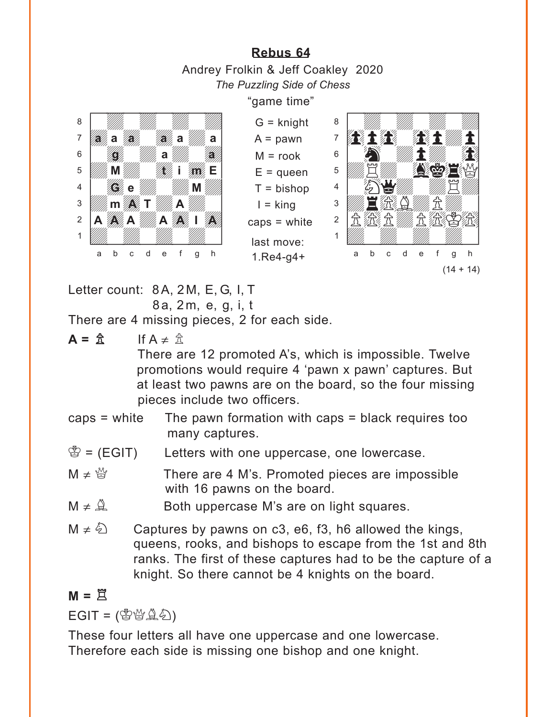**[Rebus 64](#page-3-0)** Andrey Frolkin & Jeff Coakley 2020 *The Puzzling Side of Chess*

"game time"

<span id="page-9-0"></span>

 $G =$  knight  $A =$  pawn  $M = \text{rook}$  $E =$ queen  $T = b$ ishop  $I =$ king caps = white last move:

1.Re4-g4+



Letter count: 8A, 2M, E, G, I, T

8a, 2m, e, g, i, t

There are 4 missing pieces, 2 for each side.

 $A = \hat{B}$  If  $A \neq \hat{B}$ 

There are 12 promoted A's, which is impossible. Twelve promotions would require 4 'pawn x pawn' captures. But at least two pawns are on the board, so the four missing pieces include two officers.

- caps = white The pawn formation with caps = black requires too many captures.
- $\mathcal{B} = (EGIT)$  Letters with one uppercase, one lowercase.
- $M \neq \mathbb{S}$  There are 4 M's. Promoted pieces are impossible with 16 pawns on the board.
- $M \neq \mathbb{Q}$  Both uppercase M's are on light squares.
- $M \neq \hat{\&}$  Captures by pawns on c3, e6, f3, h6 allowed the kings, queens, rooks, and bishops to escape from the 1st and 8th ranks. The first of these captures had to be the capture of a knight. So there cannot be 4 knights on the board.

## $M = \tilde{\Xi}$

 $EGIT = (\mathcal{B} \mathcal{B} \mathcal{A} \mathcal{A})$ 

These four letters all have one uppercase and one lowercase. Therefore each side is missing one bishop and one knight.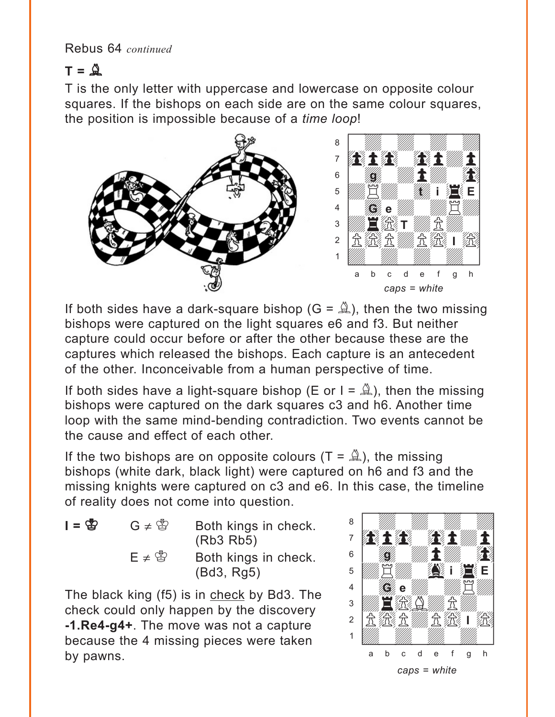Rebus 64 *continued*

## $T = 2$

T is the only letter with uppercase and lowercase on opposite colour squares. If the bishops on each side are on the same colour squares, the position is impossible because of a *time loop*!



If both sides have a dark-square bishop ( $G = \mathbb{A}$ ), then the two missing bishops were captured on the light squares e6 and f3. But neither capture could occur before or after the other because these are the captures which released the bishops. Each capture is an antecedent of the other. Inconceivable from a human perspective of time.

If both sides have a light-square bishop (E or  $I = \mathbb{A}$ ), then the missing bishops were captured on the dark squares c3 and h6. Another time loop with the same mind-bending contradiction. Two events cannot be the cause and effect of each other.

If the two bishops are on opposite colours  $(T = \mathbb{A})$ , the missing bishops (white dark, black light) were captured on h6 and f3 and the missing knights were captured on c3 and e6. In this case, the timeline of reality does not come into question. with the set of the set of the set of the set of the set of the set of the set of the set of the set of the set of the set of the set of the set of the set of the set of the set of the set of the set of the set of the set

 $I = \mathbb{S}$  G  $\neq \mathbb{S}$  Both kings in check. (Rb3 Rb5)  $E \neq \mathcal{E}$  Both kings in check. (Bd3, Rg5)

The black king (f5) is in check by Bd3. The check could only happen by the discovery **-1.Re4-g4+**. The move was not a capture because the 4 missing pieces were taken by pawns.

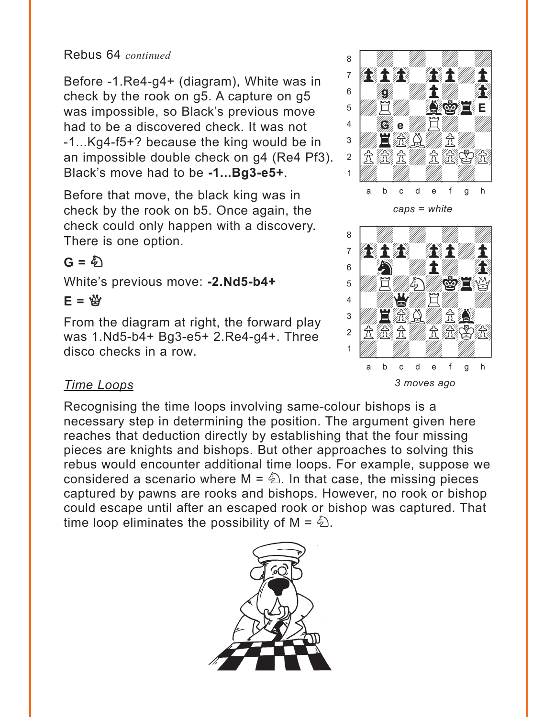#### Rebus 64 *continued*

Before -1.Re4-g4+ (diagram), White was in check by the rook on g5. A capture on g5 was impossible, so Black's previous move had to be a discovered check. It was not -1...Kg4-f5+? because the king would be in an impossible double check on g4 (Re4 Pf3). Black's move had to be **-1...Bg3-e5+**.

Before that move, the black king was in check by the rook on b5. Once again, the check could only happen with a discovery. There is one option.

## $G = \hat{\phi}$

White's previous move: **-2.Nd5-b4+**

### **E =** Q

From the diagram at right, the forward play was 1.Nd5-b4+ Bg3-e5+ 2.Re4-g4+. Three disco checks in a row.

#### *Time Loops*

Recognising the time loops involving same-colour bishops is a necessary step in determining the position. The argument given here reaches that deduction directly by establishing that the four missing pieces are knights and bishops. But other approaches to solving this rebus would encounter additional time loops. For example, suppose we considered a scenario where  $M = \hat{\mathbb{Z}}$ . In that case, the missing pieces captured by pawns are rooks and bishops. However, no rook or bishop could escape until after an escaped rook or bishop was captured. That time loop eliminates the possibility of  $M = \&$ .





with the set of the set of the set of the set of the set of the set of the set of the set of the set of the set of the set of the set of the set of the set of the set of the set of the set of the set of the set of the set

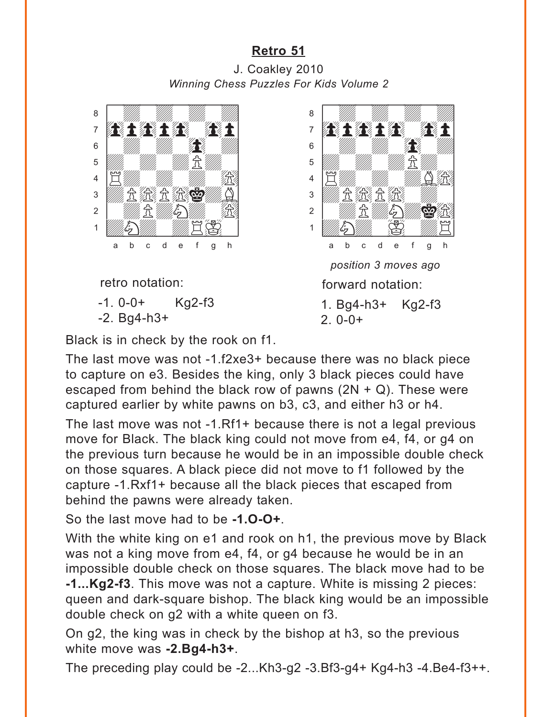### **[Retro 51](#page-4-0)**

<span id="page-12-0"></span>J. Coakley 2010 *Winning Chess Puzzles For Kids Volume 2*



Black is in check by the rook on f1.

The last move was not -1.f2xe3+ because there was no black piece to capture on e3. Besides the king, only 3 black pieces could have escaped from behind the black row of pawns  $(2N + Q)$ . These were captured earlier by white pawns on b3, c3, and either h3 or h4.

The last move was not -1.Rf1+ because there is not a legal previous move for Black. The black king could not move from e4, f4, or g4 on the previous turn because he would be in an impossible double check on those squares. A black piece did not move to f1 followed by the capture -1.Rxf1+ because all the black pieces that escaped from behind the pawns were already taken.

So the last move had to be **-1.O-O+**.

With the white king on e1 and rook on h1, the previous move by Black was not a king move from e4, f4, or g4 because he would be in an impossible double check on those squares. The black move had to be **-1...Kg2-f3**. This move was not a capture. White is missing 2 pieces: queen and dark-square bishop. The black king would be an impossible double check on g2 with a white queen on f3.

On g2, the king was in check by the bishop at h3, so the previous white move was **-2.Bg4-h3+**.

The preceding play could be -2...Kh3-g2 -3.Bf3-g4+ Kg4-h3 -4.Be4-f3++.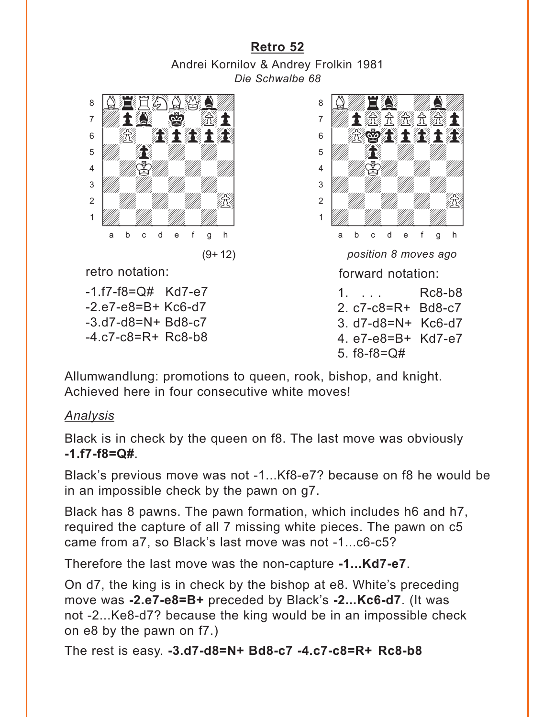<span id="page-13-0"></span>**[Retro 52](#page-5-0)** Andrei Kornilov & Andrey Frolkin 1981 *Die Schwalbe 68*



retro notation:

-1.f7-f8=Q# Kd7-e7 -2.e7-e8=B+ Kc6-d7 -3.d7-d8=N+ Bd8-c7 -4.c7-c8=R+ Rc8-b8



5. f8-f8=Q#

Allumwandlung: promotions to queen, rook, bishop, and knight. Achieved here in four consecutive white moves!

#### *Analysis*

Black is in check by the queen on f8. The last move was obviously **-1.f7-f8=Q#**.

Black's previous move was not -1...Kf8-e7? because on f8 he would be in an impossible check by the pawn on g7.

Black has 8 pawns. The pawn formation, which includes h6 and h7, required the capture of all 7 missing white pieces. The pawn on c5 came from a7, so Black's last move was not -1...c6-c5?

Therefore the last move was the non-capture **-1...Kd7-e7**.

On d7, the king is in check by the bishop at e8. White's preceding move was **-2.e7-e8=B+** preceded by Black's **-2...Kc6-d7**. (It was not -2...Ke8-d7? because the king would be in an impossible check on e8 by the pawn on f7.)

The rest is easy. **-3.d7-d8=N+ Bd8-c7 -4.c7-c8=R+ Rc8-b8**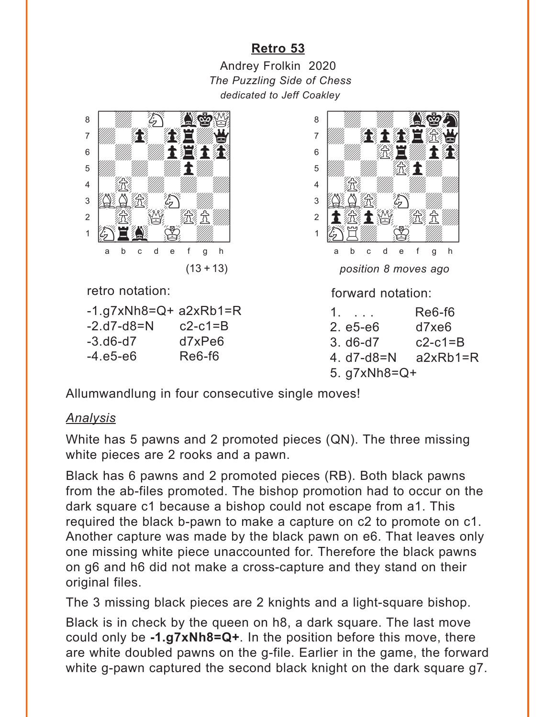## **[Retro 53](#page-5-0)**

<span id="page-14-0"></span>Andrey Frolkin 2020 *The Puzzling Side of Chess dedicated to Jeff Coakley*



retro notation:

 $-1.97xNb8=Q+ a2xRb1=R$  $-2. d7 - d8 = N$   $c2 - c1 = B$ -3.d6-d7 d7xPe6 -4.e5-e6 Re6-f6



forward notation:

| 1.                      | Re6-f6    |
|-------------------------|-----------|
| $2. e5-e6$              | d7xe6     |
| $3. d6-d7$              | $c2-c1=B$ |
| 4. $d7-d8=N$ $a2xRb1=R$ |           |
| 5. $q7xNb8=Q+$          |           |

Allumwandlung in four consecutive single moves!

#### *Analysis*

White has 5 pawns and 2 promoted pieces (QN). The three missing white pieces are 2 rooks and a pawn.

Black has 6 pawns and 2 promoted pieces (RB). Both black pawns from the ab-files promoted. The bishop promotion had to occur on the dark square c1 because a bishop could not escape from a1. This required the black b-pawn to make a capture on c2 to promote on c1. Another capture was made by the black pawn on e6. That leaves only one missing white piece unaccounted for. Therefore the black pawns on g6 and h6 did not make a cross-capture and they stand on their original files.

The 3 missing black pieces are 2 knights and a light-square bishop.

Black is in check by the queen on h8, a dark square. The last move could only be **-1.g7xNh8=Q+**. In the position before this move, there are white doubled pawns on the g-file. Earlier in the game, the forward white g-pawn captured the second black knight on the dark square g7.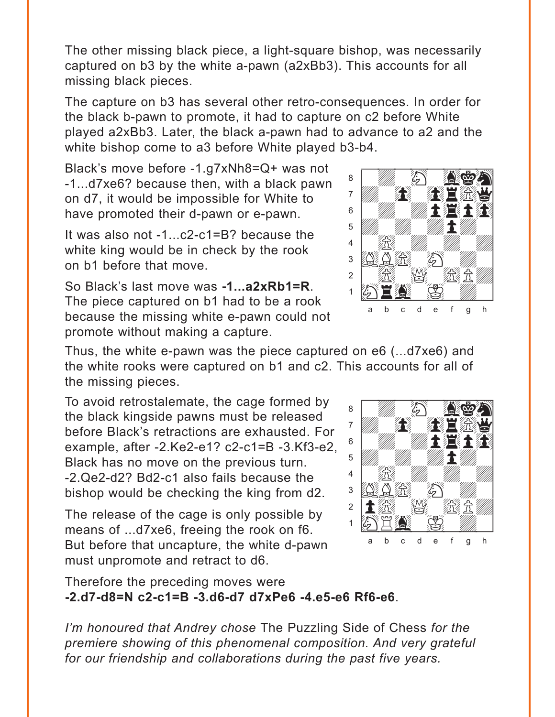The other missing black piece, a light-square bishop, was necessarily captured on b3 by the white a-pawn (a2xBb3). This accounts for all missing black pieces.

The capture on b3 has several other retro-consequences. In order for the black b-pawn to promote, it had to capture on c2 before White played a2xBb3. Later, the black a-pawn had to advance to a2 and the white bishop come to a3 before White played b3-b4.

Black's move before -1.g7xNh8=Q+ was not -1...d7xe6? because then, with a black pawn on d7, it would be impossible for White to have promoted their d-pawn or e-pawn.

It was also not -1...c2-c1=B? because the white king would be in check by the rook on b1 before that move.

So Black's last move was **-1...a2xRb1=R**. The piece captured on b1 had to be a rook because the missing white e-pawn could not promote without making a capture.



Thus, the white e-pawn was the piece captured on e6 (...d7xe6) and the white rooks were captured on b1 and c2. This accounts for all of the missing pieces. with the sum of the sum of the sum of the sum of the sum of the sum of the sum of the sum of the sum of the sum of the sum of the sum of the sum of the sum of the sum of the sum of the sum of the sum of the sum of the sum

To avoid retrostalemate, the cage formed by the black kingside pawns must be released before Black's retractions are exhausted. For example, after -2.Ke2-e1? c2-c1=B -3.Kf3-e2, Black has no move on the previous turn. -2.Qe2-d2? Bd2-c1 also fails because the bishop would be checking the king from d2.

The release of the cage is only possible by means of ...d7xe6, freeing the rook on f6. But before that uncapture, the white d-pawn must unpromote and retract to d6.



Therefore the preceding moves were **-2.d7-d8=N c2-c1=B -3.d6-d7 d7xPe6 -4.e5-e6 Rf6-e6**.

*I'm honoured that Andrey chose* The Puzzling Side of Chess *for the premiere showing of this phenomenal composition. And very grateful for our friendship and collaborations during the past five years.*